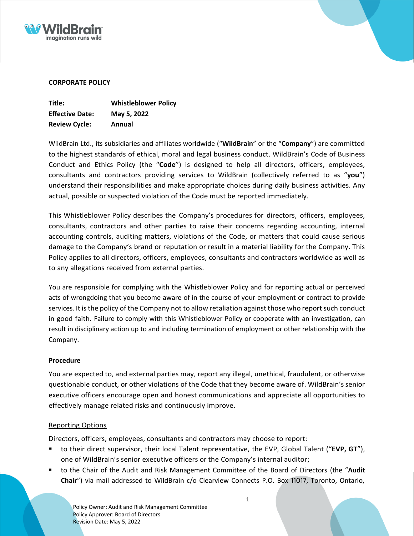



# **CORPORATE POLICY**

| Title:                 | <b>Whistleblower Policy</b> |
|------------------------|-----------------------------|
| <b>Effective Date:</b> | May 5, 2022                 |
| <b>Review Cycle:</b>   | Annual                      |

WildBrain Ltd., its subsidiaries and affiliates worldwide ("**WildBrain**" or the "**Company**") are committed to the highest standards of ethical, moral and legal business conduct. WildBrain's Code of Business Conduct and Ethics Policy (the "**Code**") is designed to help all directors, officers, employees, consultants and contractors providing services to WildBrain (collectively referred to as "**you**") understand their responsibilities and make appropriate choices during daily business activities. Any actual, possible or suspected violation of the Code must be reported immediately.

This Whistleblower Policy describes the Company's procedures for directors, officers, employees, consultants, contractors and other parties to raise their concerns regarding accounting, internal accounting controls, auditing matters, violations of the Code, or matters that could cause serious damage to the Company's brand or reputation or result in a material liability for the Company. This Policy applies to all directors, officers, employees, consultants and contractors worldwide as well as to any allegations received from external parties.

You are responsible for complying with the Whistleblower Policy and for reporting actual or perceived acts of wrongdoing that you become aware of in the course of your employment or contract to provide services. It is the policy of the Company not to allow retaliation against those who report such conduct in good faith. Failure to comply with this Whistleblower Policy or cooperate with an investigation, can result in disciplinary action up to and including termination of employment or other relationship with the Company.

# **Procedure**

You are expected to, and external parties may, report any illegal, unethical, fraudulent, or otherwise questionable conduct, or other violations of the Code that they become aware of. WildBrain'ssenior executive officers encourage open and honest communications and appreciate all opportunities to effectively manage related risks and continuously improve.

# Reporting Options

Directors, officers, employees, consultants and contractors may choose to report:

- to their direct supervisor, their local Talent representative, the EVP, Global Talent ("**EVP, GT**"), one of WildBrain's senior executive officers or the Company's internal auditor;
- to the Chair of the Audit and Risk Management Committee of the Board of Directors (the "**Audit Chair**") via mail addressed to WildBrain c/o Clearview Connects P.O. Box 11017, Toronto, Ontario,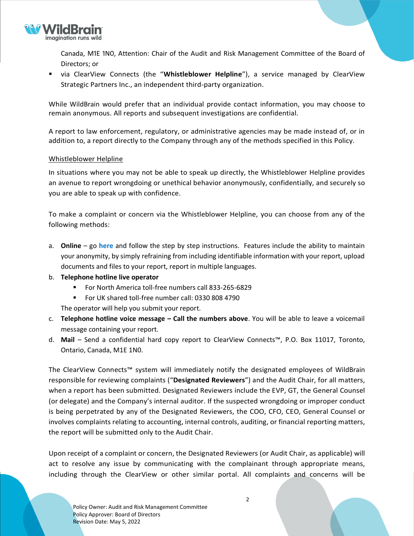

Canada, M1E 1N0, Attention: Chair of the Audit and Risk Management Committee of the Board of Directors; or

▪ via ClearView Connects (the "**Whistleblower Helpline**"), a service managed by ClearView Strategic Partners Inc., an independent third-party organization.

While WildBrain would prefer that an individual provide contact information, you may choose to remain anonymous. All reports and subsequent investigations are confidential.

A report to law enforcement, regulatory, or administrative agencies may be made instead of, or in addition to, a report directly to the Company through any of the methods specified in this Policy.

### Whistleblower Helpline

In situations where you may not be able to speak up directly, the Whistleblower Helpline provides an avenue to report wrongdoing or unethical behavior anonymously, confidentially, and securely so you are able to speak up with confidence.

To make a complaint or concern via the Whistleblower Helpline, you can choose from any of the following methods:

- a. **Online**  go **[here](https://www.clearviewconnects.com/Home.htm?org=WildBrain&lang=en)** and follow the step by step instructions. Features include the ability to maintain your anonymity, by simply refraining from including identifiable information with your report, upload documents and files to your report, report in multiple languages.
- b. **Telephone hotline live operator**
	- For North America toll-free numbers call 833-265-6829
	- For UK shared toll-free number call: 0330 808 4790

The operator will help you submit your report.

- c. **Telephone hotline voice message – Call the numbers above**. You will be able to leave a voicemail message containing your report.
- d. **Mail** Send a confidential hard copy report to ClearView Connects™, P.O. Box 11017, Toronto, Ontario, Canada, M1E 1N0.

The ClearView Connects™ system will immediately notify the designated employees of WildBrain responsible for reviewing complaints ("**Designated Reviewers**") and the Audit Chair, for all matters, when a report has been submitted. Designated Reviewers include the EVP, GT, the General Counsel (or delegate) and the Company's internal auditor. If the suspected wrongdoing or improper conduct is being perpetrated by any of the Designated Reviewers, the COO, CFO, CEO, General Counsel or involves complaints relating to accounting, internal controls, auditing, or financial reporting matters, the report will be submitted only to the Audit Chair.

Upon receipt of a complaint or concern, the Designated Reviewers (or Audit Chair, as applicable) will act to resolve any issue by communicating with the complainant through appropriate means, including through the ClearView or other similar portal. All complaints and concerns will be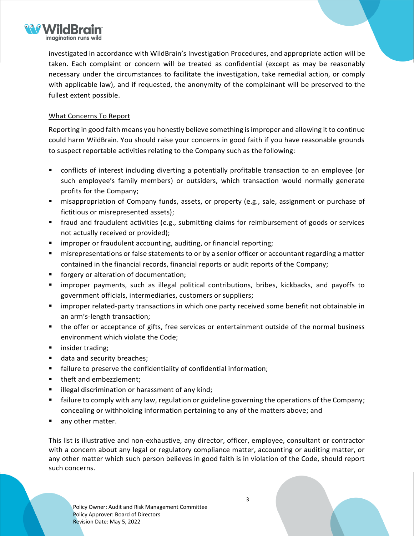

investigated in accordance with WildBrain's Investigation Procedures, and appropriate action will be taken. Each complaint or concern will be treated as confidential (except as may be reasonably necessary under the circumstances to facilitate the investigation, take remedial action, or comply with applicable law), and if requested, the anonymity of the complainant will be preserved to the fullest extent possible.

## What Concerns To Report

Reporting in good faith means you honestly believe something is improper and allowing it to continue could harm WildBrain. You should raise your concerns in good faith if you have reasonable grounds to suspect reportable activities relating to the Company such as the following:

- conflicts of interest including diverting a potentially profitable transaction to an employee (or such employee's family members) or outsiders, which transaction would normally generate profits for the Company;
- misappropriation of Company funds, assets, or property (e.g., sale, assignment or purchase of fictitious or misrepresented assets);
- fraud and fraudulent activities (e.g., submitting claims for reimbursement of goods or services not actually received or provided);
- **E** improper or fraudulent accounting, auditing, or financial reporting;
- misrepresentations or false statements to or by a senior officer or accountant regarding a matter contained in the financial records, financial reports or audit reports of the Company;
- forgery or alteration of documentation;
- improper payments, such as illegal political contributions, bribes, kickbacks, and payoffs to government officials, intermediaries, customers or suppliers;
- improper related-party transactions in which one party received some benefit not obtainable in an arm's-length transaction;
- the offer or acceptance of gifts, free services or entertainment outside of the normal business environment which violate the Code;
- insider trading;
- data and security breaches;
- failure to preserve the confidentiality of confidential information;
- theft and embezzlement;
- illegal discrimination or harassment of any kind;
- failure to comply with any law, regulation or guideline governing the operations of the Company; concealing or withholding information pertaining to any of the matters above; and
- any other matter.

This list is illustrative and non-exhaustive, any director, officer, employee, consultant or contractor with a concern about any legal or regulatory compliance matter, accounting or auditing matter, or any other matter which such person believes in good faith is in violation of the Code, should report such concerns.

Policy Owner: Audit and Risk Management Committee Policy Approver: Board of Directors Revision Date: May 5, 2022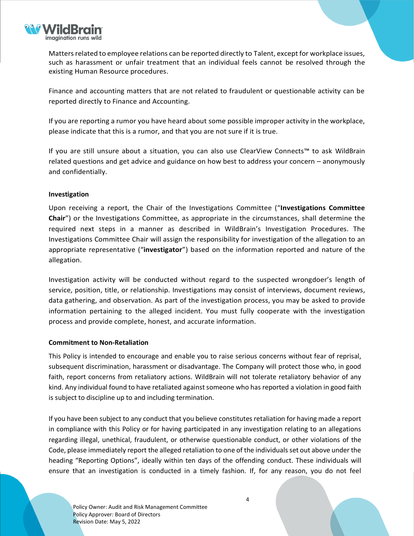

Matters related to employee relations can be reported directly to Talent, except for workplace issues, such as harassment or unfair treatment that an individual feels cannot be resolved through the existing Human Resource procedures.

Finance and accounting matters that are not related to fraudulent or questionable activity can be reported directly to Finance and Accounting.

If you are reporting a rumor you have heard about some possible improper activity in the workplace, please indicate that this is a rumor, and that you are not sure if it is true.

If you are still unsure about a situation, you can also use ClearView Connects™ to ask WildBrain related questions and get advice and guidance on how best to address your concern – anonymously and confidentially.

### **Investigation**

Upon receiving a report, the Chair of the Investigations Committee ("**Investigations Committee Chair**") or the Investigations Committee, as appropriate in the circumstances, shall determine the required next steps in a manner as described in WildBrain's Investigation Procedures. The Investigations Committee Chair will assign the responsibility for investigation of the allegation to an appropriate representative ("**investigator**") based on the information reported and nature of the allegation.

Investigation activity will be conducted without regard to the suspected wrongdoer's length of service, position, title, or relationship. Investigations may consist of interviews, document reviews, data gathering, and observation. As part of the investigation process, you may be asked to provide information pertaining to the alleged incident. You must fully cooperate with the investigation process and provide complete, honest, and accurate information.

### **Commitment to Non-Retaliation**

This Policy is intended to encourage and enable you to raise serious concerns without fear of reprisal, subsequent discrimination, harassment or disadvantage. The Company will protect those who, in good faith, report concerns from retaliatory actions. WildBrain will not tolerate retaliatory behavior of any kind. Any individual found to have retaliated against someone who has reported a violation in good faith is subject to discipline up to and including termination.

If you have been subject to any conduct that you believe constitutes retaliation for having made a report in compliance with this Policy or for having participated in any investigation relating to an allegations regarding illegal, unethical, fraudulent, or otherwise questionable conduct, or other violations of the Code, please immediately report the alleged retaliation to one of the individuals set out above under the heading "Reporting Options", ideally within ten days of the offending conduct. These individuals will ensure that an investigation is conducted in a timely fashion. If, for any reason, you do not feel